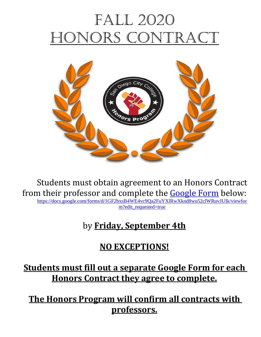# FALL 2020 ONORS CON



Students must obtain agreement to an Honors Contract from their professor and complete the [Google Form](https://docs.google.com/forms/d/1GF2bxsB4WE4vc9Qa2FuYXlRwXknd8wo52clWRuvJUIk/viewform?edit_requested=true) below: [https://docs.google.com/forms/d/1GF2bxsB4WE4vc9Qa2FuYXlRwXknd8wo52clWRuvJUIk/viewfor](https://docs.google.com/forms/d/1GF2bxsB4WE4vc9Qa2FuYXlRwXknd8wo52clWRuvJUIk/viewform?edit_requested=true)

[m?edit\\_requested=true](https://docs.google.com/forms/d/1GF2bxsB4WE4vc9Qa2FuYXlRwXknd8wo52clWRuvJUIk/viewform?edit_requested=true)

# by **Friday, September 4th**

# **NO EXCEPTIONS!**

**Students must fill out a separate Google Form for each Honors Contract they agree to complete.**

**The Honors Program will confirm all contracts with professors.**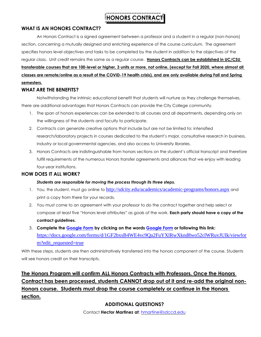### **HONORS CONTRAC**

### **WHAT IS AN HONORS CONTRACT?**

An Honors Contract is a signed agreement between a professor and a student in a regular (non-honors) section, concerning a mutually designed and enriching experience of the course curriculum. The agreement specifies honors level objectives and tasks to be completed by the student in addition to the objectives of the regular class. Unit credit remains the same as a regular course. **Honors Contracts can be established in UC/CSU transferable courses that are 100-level or higher, 3 units or more, not online, (except for Fall 2020, where almost all classes are remote/online as a result of the COVID-19 health crisis), and are only available during Fall and Spring semesters.**

#### **WHAT ARE THE BENEFITS?**

Notwithstanding the intrinsic educational benefit that students will nurture as they challenge themselves, there are additional advantages that Honors Contracts can provide the City College community.

- 1. The span of honors experiences can be extended to all courses and all departments, depending only on the willingness of the students and faculty to participate.
- 2. Contracts can generate creative options that include but are not be limited to: intensified research/laboratory projects in courses dedicated to the student's major, consultative research in business, industry or local governmental agencies, and also access to University libraries.
- 3. Honors Contracts are indistinguishable from honors sections on the student's official transcript and therefore fulfill requirements of the numerous Honors transfer agreements and alliances that we enjoy with leading four-year institutions.

### **HOW DOES IT ALL WORK?**

### *Students are responsible for moving the process through its three steps.*

- 1. You, the student, must go online to <http://sdcity.edu/academics/academic-programs/honors.aspx> and print a copy from there for your records.
- 2. You must come to an agreement with your professor to do the contract together and help select or compose at least five "Honors level attributes" as goals of the work. **Each party should have a copy of the contract guidelines.**
- 3. **Complete the [Google Form](https://docs.google.com/forms/d/1GF2bxsB4WE4vc9Qa2FuYXlRwXknd8wo52clWRuvJUIk/viewform?edit_requested=true) by clicking on the words [Google Form](https://docs.google.com/forms/d/1GF2bxsB4WE4vc9Qa2FuYXlRwXknd8wo52clWRuvJUIk/viewform?edit_requested=true) or following this link:**  [https://docs.google.com/forms/d/1GF2bxsB4WE4vc9Qa2FuYXlRwXknd8wo52clWRuvJUIk/viewfor](https://docs.google.com/forms/d/1GF2bxsB4WE4vc9Qa2FuYXlRwXknd8wo52clWRuvJUIk/viewform?edit_requested=true) [m?edit\\_requested=true](https://docs.google.com/forms/d/1GF2bxsB4WE4vc9Qa2FuYXlRwXknd8wo52clWRuvJUIk/viewform?edit_requested=true)

With these steps, students are then administratively transferred into the honors component of the course. Students will see honors credit on their transcripts.

### **The Honors Program will confirm ALL Honors Contracts with Professors. Once the Honors Contract has been processed, students CANNOT drop out of it and re-add the original non-Honors course. Students must drop the course completely or continue in the Honors section.**

### **ADDITIONAL QUESTIONS?**

Contact **Hector Martinez at**: [hmartine@sdccd.edu](mailto:hmartine@sdccd.edu)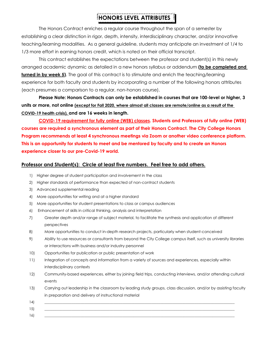### **HONORS LEVEL ATTRIBUTES**

The Honors Contract enriches a regular course throughout the span of a semester by establishing a clear distinction in rigor, depth, intensity, interdisciplinary character, and/or innovative teaching/learning modalities. As a general guideline, students may anticipate an investment of 1/4 to 1/3 more effort in earning honors credit, which is noted on their official transcript.

This contract establishes the expectations between the professor and student(s) in this newly arranged academic dynamic as detailed in a new honors syllabus or addendum **(to be completed and turned in by week 5)**. The goal of this contract is to stimulate and enrich the teaching/learning experience for both faculty and students by incorporating a number of the following honors attributes (each presumes a comparison to a regular, non-honors course).

**Please Note: Honors Contracts can only be established in courses that are 100-level or higher, 3 units or more, not online (except for Fall 2020, where almost all classes are remote/online as a result of the COVID-19 health crisis), and are 16 weeks in length.**

**COVID-19 requirement for fully online (WEB) classes. Students and Professors of fully online (WEB) courses are required a synchronous element as part of their Honors Contract. The City College Honors Program recommends at least 4 synchronous meetings via Zoom or another video conference platform. This is an opportunity for students to meet and be mentored by faculty and to create an Honors experience closer to our pre-Covid-19 world.**

### **Professor and Student(s): Circle at least five numbers. Feel free to add others.**

- 1) Higher degree of student participation and involvement in the class
- 2) Higher standards of performance than expected of non-contract students
- 3) Advanced supplemental reading
- 4) More opportunities for writing and at a higher standard
- 5) More opportunities for student presentations to class or campus audiences
- 6) Enhancement of skills in critical thinking, analysis and interpretation
- 7) Greater depth and/or range of subject material, to facilitate the synthesis and application of different perspectives
- 8) More opportunities to conduct in-depth research projects, particularly when student-conceived
- 9) Ability to use resources or consultants from beyond the City College campus itself, such as university libraries or interactions with business and/or industry personnel
- 10) Opportunities for publication or public presentation of work
- 11) Integration of concepts and information from a variety of sources and experiences, especially within interdisciplinary contexts
- 12) Community-based experiences, either by joining field trips, conducting interviews, and/or attending cultural events
- 13) Carrying out leadership in the classroom by leading study groups, class discussion, and/or by assisting faculty in preparation and delivery of instructional material
- 14) \_\_\_\_\_\_\_\_\_\_\_\_\_\_\_\_\_\_\_\_\_\_\_\_\_\_\_\_\_\_\_\_\_\_\_\_\_\_\_\_\_\_\_\_\_\_\_\_\_\_\_\_\_\_\_\_\_\_\_\_\_\_\_\_\_\_\_\_\_\_\_\_\_\_\_\_\_\_\_\_\_\_\_\_\_\_\_\_\_\_\_\_\_\_\_\_\_\_\_\_\_\_\_\_\_
- 15) \_\_\_\_\_\_\_\_\_\_\_\_\_\_\_\_\_\_\_\_\_\_\_\_\_\_\_\_\_\_\_\_\_\_\_\_\_\_\_\_\_\_\_\_\_\_\_\_\_\_\_\_\_\_\_\_\_\_\_\_\_\_\_\_\_\_\_\_\_\_\_\_\_\_\_\_\_\_\_\_\_\_\_\_\_\_\_\_\_\_\_\_\_\_\_\_\_\_\_\_\_\_\_\_\_
- 16) \_\_\_\_\_\_\_\_\_\_\_\_\_\_\_\_\_\_\_\_\_\_\_\_\_\_\_\_\_\_\_\_\_\_\_\_\_\_\_\_\_\_\_\_\_\_\_\_\_\_\_\_\_\_\_\_\_\_\_\_\_\_\_\_\_\_\_\_\_\_\_\_\_\_\_\_\_\_\_\_\_\_\_\_\_\_\_\_\_\_\_\_\_\_\_\_\_\_\_\_\_\_\_\_\_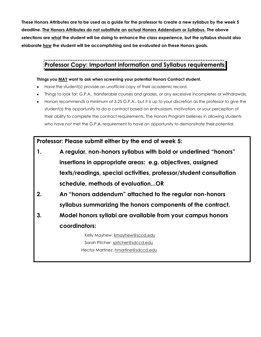**These Honors Attributes are to be used as a guide for the professor to create a new syllabus by the week 5 deadline. The Honors Attributes do not substitute an actual Honors Addendum or Syllabus. The above selections are what the student will be doing to enhance the class experience, but the syllabus should also elaborate how the student will be accomplishing and be evaluated on these Honors goals.**

# **Professor Copy: Important information and Syllabus requirements**

#### **Things you MAY want to ask when screening your potential Honors Contract student.**

- Have the student(s) provide an unofficial copy of their academic record.
- Things to look for: G.P.A., transferable courses and grades, or any excessive incompletes or withdrawals.
- Honors recommends a minimum of 3.25 G.P.A., but it is up to your discretion as the professor to give the student(s) the opportunity to do a contract based on enthusiasm, motivation, or your perception of their ability to complete the contract requirements. The Honors Program believes in allowing students who have not met the G.P.A. requirement to have an opportunity to demonstrate their potential.

**Professor: Please submit either by the end of week 5:**

- **1. A regular, non-honors syllabus with bold or underlined "honors" insertions in appropriate areas: e.g. objectives, assigned texts/readings, special activities, professor/student consultation schedule, methods of evaluation...OR**
- **2. An "honors addendum" attached to the regular non-honors syllabus summarizing the honors components of the contract.**
- **3. Model honors syllabi are available from your campus honors coordinators:**

Kelly Mayhew: kmayhew@sccd.edu Sarah Pitcher: [spitcher@sdccd.edu](mailto:spitcher@sdccd.edu) Hector Martinez: [hmartine@sdccd.edu](mailto:hmartine@sdccd.edu)